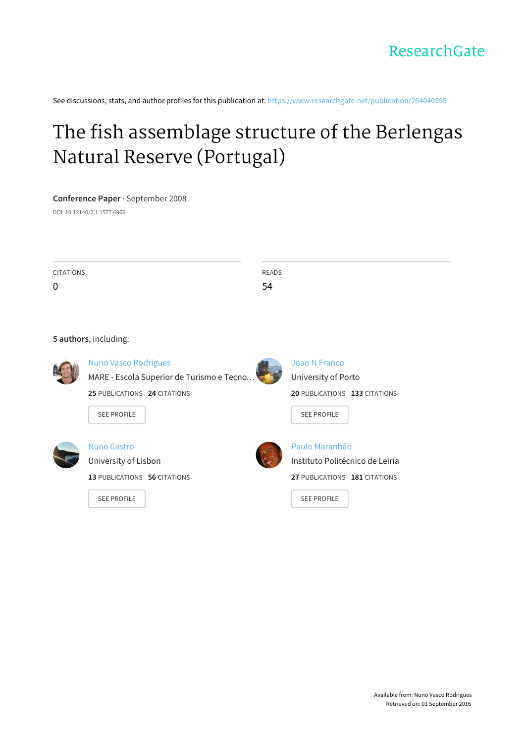See discussions, stats, and author profiles for this publication at: [https://www.researchgate.net/publication/264040595](https://www.researchgate.net/publication/264040595_The_fish_assemblage_structure_of_the_Berlengas_Natural_Reserve_Portugal?enrichId=rgreq-9952be93a2568401d26e8df0f533a971-XXX&enrichSource=Y292ZXJQYWdlOzI2NDA0MDU5NTtBUzoxMjA0MDQ3NDQwODU1MDRAMTQwNTcxODEzNjMzOQ%3D%3D&el=1_x_2)

# The fish [assemblage](https://www.researchgate.net/publication/264040595_The_fish_assemblage_structure_of_the_Berlengas_Natural_Reserve_Portugal?enrichId=rgreq-9952be93a2568401d26e8df0f533a971-XXX&enrichSource=Y292ZXJQYWdlOzI2NDA0MDU5NTtBUzoxMjA0MDQ3NDQwODU1MDRAMTQwNTcxODEzNjMzOQ%3D%3D&el=1_x_3) structure of the Berlengas Natural Reserve (Portugal)

## **Conference Paper** · September 2008

DOI: 10.13140/2.1.1577.6966

| <b>CITATIONS</b> | READS |
|------------------|-------|
| $\boldsymbol{0}$ | 54    |

## **5 authors**, including:



Nuno Vasco [Rodrigues](https://www.researchgate.net/profile/Nuno_Rodrigues8?enrichId=rgreq-9952be93a2568401d26e8df0f533a971-XXX&enrichSource=Y292ZXJQYWdlOzI2NDA0MDU5NTtBUzoxMjA0MDQ3NDQwODU1MDRAMTQwNTcxODEzNjMzOQ%3D%3D&el=1_x_5) MARE - Escola Superior de Turismo e Tecno…

**25** PUBLICATIONS **24** CITATIONS



Joao N [Franco](https://www.researchgate.net/profile/Joao_Franco?enrichId=rgreq-9952be93a2568401d26e8df0f533a971-XXX&enrichSource=Y292ZXJQYWdlOzI2NDA0MDU5NTtBUzoxMjA0MDQ3NDQwODU1MDRAMTQwNTcxODEzNjMzOQ%3D%3D&el=1_x_5) [University](https://www.researchgate.net/institution/University_of_Porto?enrichId=rgreq-9952be93a2568401d26e8df0f533a971-XXX&enrichSource=Y292ZXJQYWdlOzI2NDA0MDU5NTtBUzoxMjA0MDQ3NDQwODU1MDRAMTQwNTcxODEzNjMzOQ%3D%3D&el=1_x_6) of Porto **20** PUBLICATIONS **133** CITATIONS

SEE [PROFILE](https://www.researchgate.net/profile/Joao_Franco?enrichId=rgreq-9952be93a2568401d26e8df0f533a971-XXX&enrichSource=Y292ZXJQYWdlOzI2NDA0MDU5NTtBUzoxMjA0MDQ3NDQwODU1MDRAMTQwNTcxODEzNjMzOQ%3D%3D&el=1_x_7)



## Nuno [Castro](https://www.researchgate.net/profile/Nuno_Castro2?enrichId=rgreq-9952be93a2568401d26e8df0f533a971-XXX&enrichSource=Y292ZXJQYWdlOzI2NDA0MDU5NTtBUzoxMjA0MDQ3NDQwODU1MDRAMTQwNTcxODEzNjMzOQ%3D%3D&el=1_x_5) [University](https://www.researchgate.net/institution/University_of_Lisbon?enrichId=rgreq-9952be93a2568401d26e8df0f533a971-XXX&enrichSource=Y292ZXJQYWdlOzI2NDA0MDU5NTtBUzoxMjA0MDQ3NDQwODU1MDRAMTQwNTcxODEzNjMzOQ%3D%3D&el=1_x_6) of Lisbon

**13** PUBLICATIONS **56** CITATIONS

SEE [PROFILE](https://www.researchgate.net/profile/Nuno_Castro2?enrichId=rgreq-9952be93a2568401d26e8df0f533a971-XXX&enrichSource=Y292ZXJQYWdlOzI2NDA0MDU5NTtBUzoxMjA0MDQ3NDQwODU1MDRAMTQwNTcxODEzNjMzOQ%3D%3D&el=1_x_7)

SEE [PROFILE](https://www.researchgate.net/profile/Nuno_Rodrigues8?enrichId=rgreq-9952be93a2568401d26e8df0f533a971-XXX&enrichSource=Y292ZXJQYWdlOzI2NDA0MDU5NTtBUzoxMjA0MDQ3NDQwODU1MDRAMTQwNTcxODEzNjMzOQ%3D%3D&el=1_x_7)



Paulo [Maranhão](https://www.researchgate.net/profile/Paulo_Maranhao3?enrichId=rgreq-9952be93a2568401d26e8df0f533a971-XXX&enrichSource=Y292ZXJQYWdlOzI2NDA0MDU5NTtBUzoxMjA0MDQ3NDQwODU1MDRAMTQwNTcxODEzNjMzOQ%3D%3D&el=1_x_5) Instituto [Politécnico](https://www.researchgate.net/institution/Instituto_Politecnico_de_Leiria?enrichId=rgreq-9952be93a2568401d26e8df0f533a971-XXX&enrichSource=Y292ZXJQYWdlOzI2NDA0MDU5NTtBUzoxMjA0MDQ3NDQwODU1MDRAMTQwNTcxODEzNjMzOQ%3D%3D&el=1_x_6) de Leiria **27** PUBLICATIONS **181** CITATIONS

SEE [PROFILE](https://www.researchgate.net/profile/Paulo_Maranhao3?enrichId=rgreq-9952be93a2568401d26e8df0f533a971-XXX&enrichSource=Y292ZXJQYWdlOzI2NDA0MDU5NTtBUzoxMjA0MDQ3NDQwODU1MDRAMTQwNTcxODEzNjMzOQ%3D%3D&el=1_x_7)